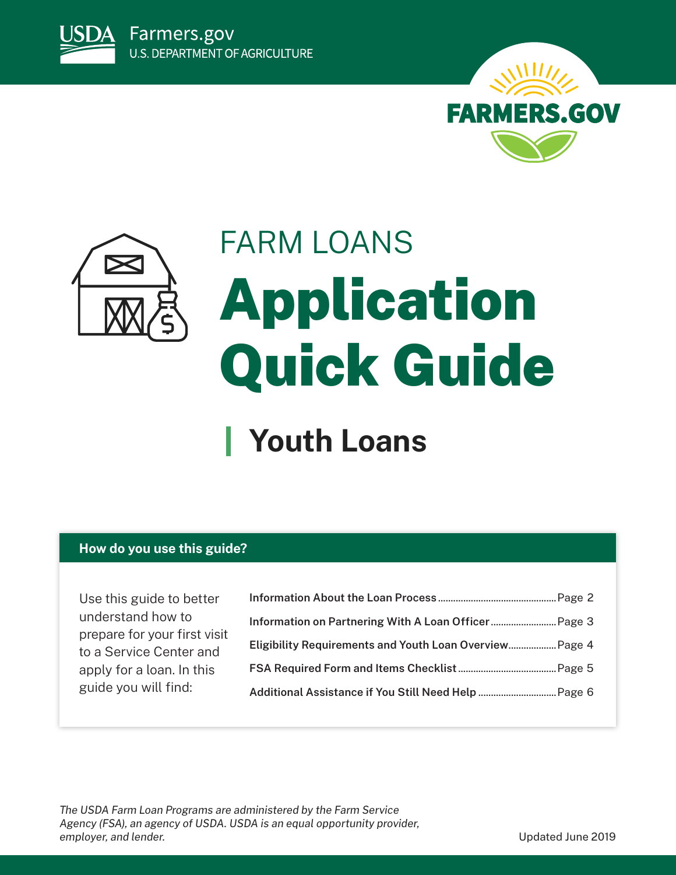





# FARM LOANS Application Quick Guide

### **Youth Loans**

#### **How do you use this guide?**

Use this guide to better understand how to prepare for your first visit to a Service Center and apply for a loan. In this guide you will find:

| Eligibility Requirements and Youth Loan Overview Page 4 |  |
|---------------------------------------------------------|--|
|                                                         |  |
|                                                         |  |
|                                                         |  |

*The USDA Farm Loan Programs are administered by the Farm Service Agency (FSA), an agency of USDA. USDA is an equal opportunity provider, employer, and lender.* Updated June 2019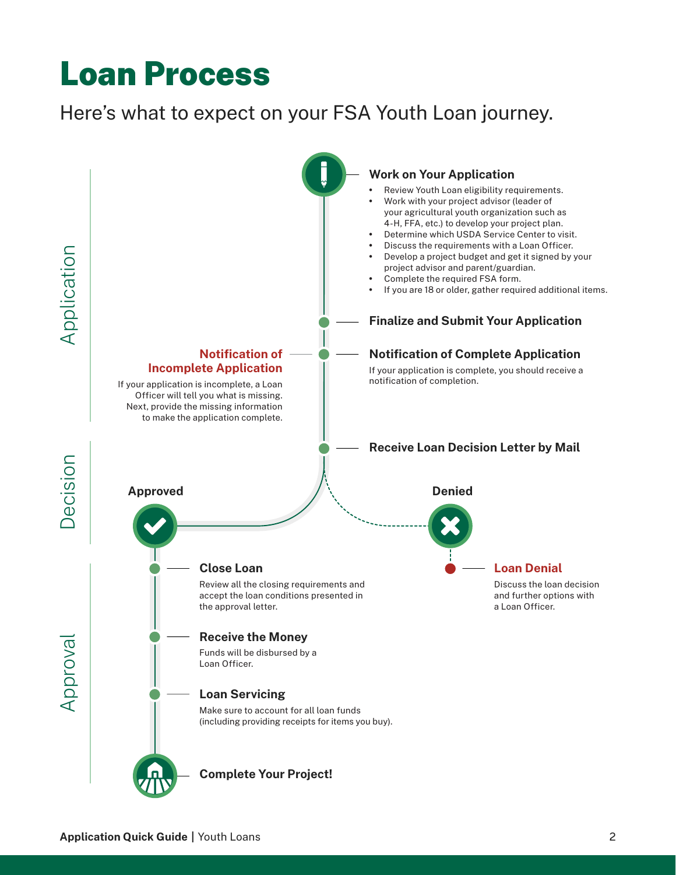### <span id="page-1-0"></span>Loan Process

### Here's what to expect on your FSA Youth Loan journey.

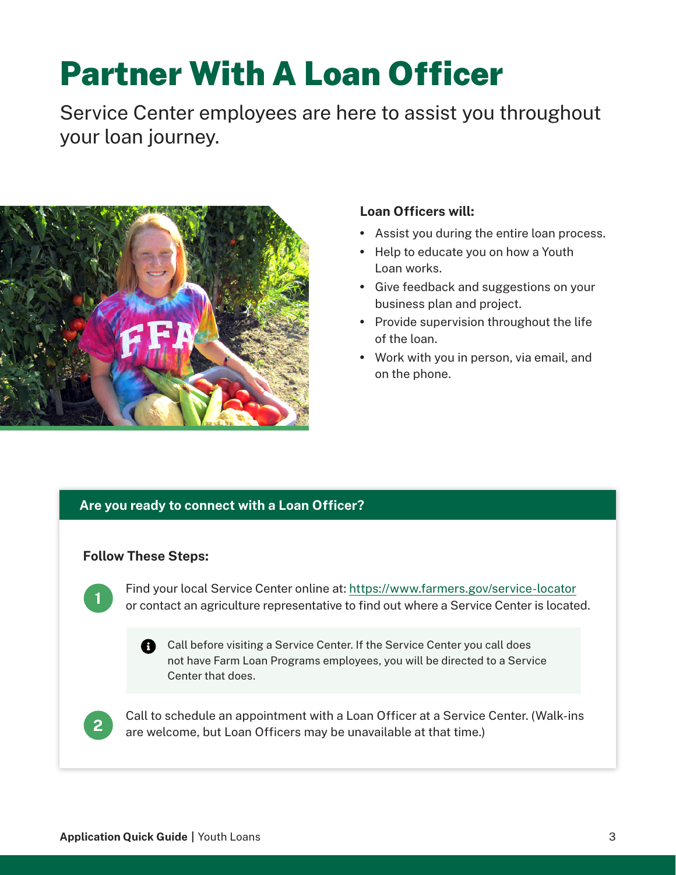## Partner With A Loan Officer

Service Center employees are here to assist you throughout your loan journey.



#### **Loan Officers will:**

- Assist you during the entire loan process.
- Help to educate you on how a Youth Loan works.
- Give feedback and suggestions on your business plan and project.
- Provide supervision throughout the life of the loan.
- Work with you in person, via email, and on the phone.

#### **Are you ready to connect with a Loan Officer?**

#### **Follow These Steps:**

**1**

Find your local Service Center online at:<https://www.farmers.gov/service-locator> or contact an agriculture representative to find out where a Service Center is located.

**A** Call before visiting a Service Center. If the Service Center you call does not have Farm Loan Programs employees, you will be directed to a Service Center that does.



Call to schedule an appointment with a Loan Officer at a Service Center. (Walk-ins are welcome, but Loan Officers may be unavailable at that time.)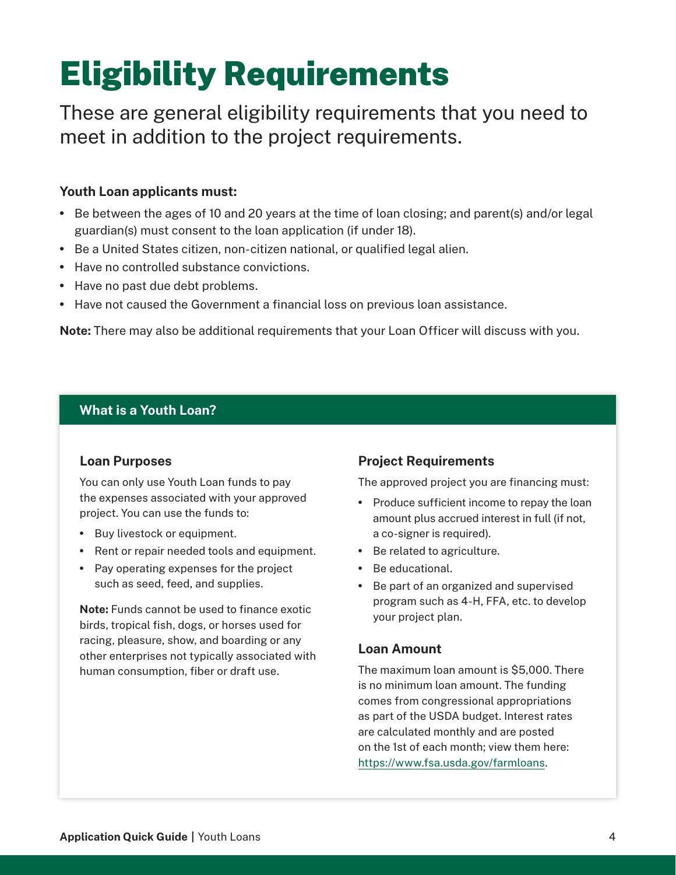# <span id="page-3-0"></span>Eligibility Requirements

These are general eligibility requirements that you need to meet in addition to the project requirements.

#### **Youth Loan applicants must:**

- Be between the ages of 10 and 20 years at the time of loan closing; and parent(s) and/or legal guardian(s) must consent to the loan application (if under 18).
- Be a United States citizen, non-citizen national, or qualified legal alien.
- Have no controlled substance convictions.
- Have no past due debt problems.
- Have not caused the Government a financial loss on previous loan assistance.

**Note:** There may also be additional requirements that your Loan Officer will discuss with you.

#### **What is a Youth Loan?**

#### **Loan Purposes**

You can only use Youth Loan funds to pay the expenses associated with your approved project. You can use the funds to:

- Buy livestock or equipment.
- Rent or repair needed tools and equipment.
- Pay operating expenses for the project such as seed, feed, and supplies.

**Note:** Funds cannot be used to finance exotic birds, tropical fish, dogs, or horses used for racing, pleasure, show, and boarding or any other enterprises not typically associated with human consumption, fiber or draft use.

#### **Project Requirements**

The approved project you are financing must:

- Produce sufficient income to repay the loan amount plus accrued interest in full (if not, a co-signer is required).
- Be related to agriculture.
- Be educational.
- Be part of an organized and supervised program such as 4-H, FFA, etc. to develop your project plan.

#### **Loan Amount**

The maximum loan amount is \$5,000. There is no minimum loan amount. The funding comes from congressional appropriations as part of the USDA budget. Interest rates are calculated monthly and are posted on the 1st of each month; view them here: [https://www.fsa.usda.gov/farmloans.](https://www.fsa.usda.gov/farmloans)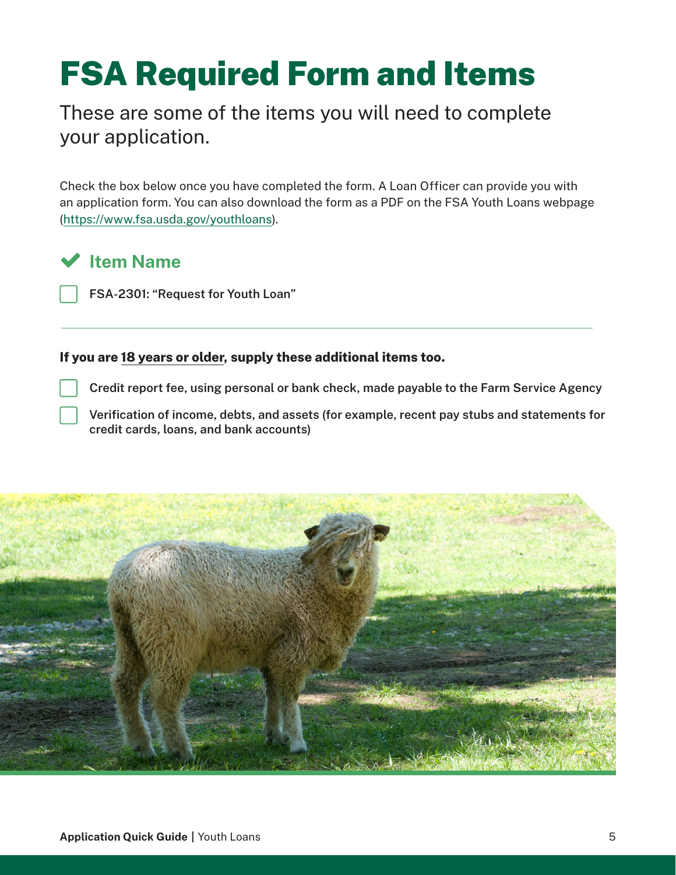# <span id="page-4-0"></span>FSA Required Form and Items

These are some of the items you will need to complete your application.

Check the box below once you have completed the form. A Loan Officer can provide you with an application form. You can also download the form as a PDF on the FSA Youth Loans webpage [\(https://www.fsa.usda.gov/youthloans](https://www.fsa.usda.gov/youthloans)).

### **Item Name**

 **FSA-2301: "Request for Youth Loan"**

#### **If you are 18 years or older, supply these additional items too.**

 **Credit report fee, using personal or bank check, made payable to the Farm Service Agency** 

 **Verification of income, debts, and assets (for example, recent pay stubs and statements for credit cards, loans, and bank accounts)**